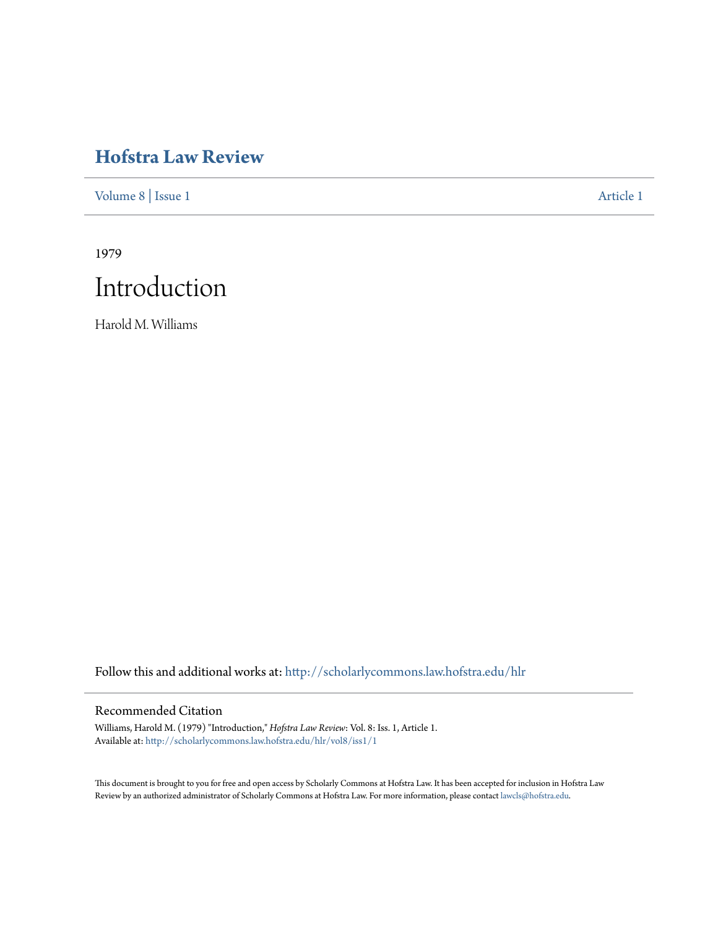# **[Hofstra Law Review](http://scholarlycommons.law.hofstra.edu/hlr?utm_source=scholarlycommons.law.hofstra.edu%2Fhlr%2Fvol8%2Fiss1%2F1&utm_medium=PDF&utm_campaign=PDFCoverPages)**

[Volume 8](http://scholarlycommons.law.hofstra.edu/hlr/vol8?utm_source=scholarlycommons.law.hofstra.edu%2Fhlr%2Fvol8%2Fiss1%2F1&utm_medium=PDF&utm_campaign=PDFCoverPages) | [Issue 1](http://scholarlycommons.law.hofstra.edu/hlr/vol8/iss1?utm_source=scholarlycommons.law.hofstra.edu%2Fhlr%2Fvol8%2Fiss1%2F1&utm_medium=PDF&utm_campaign=PDFCoverPages) [Article 1](http://scholarlycommons.law.hofstra.edu/hlr/vol8/iss1/1?utm_source=scholarlycommons.law.hofstra.edu%2Fhlr%2Fvol8%2Fiss1%2F1&utm_medium=PDF&utm_campaign=PDFCoverPages)

1979



Harold M. Williams

Follow this and additional works at: [http://scholarlycommons.law.hofstra.edu/hlr](http://scholarlycommons.law.hofstra.edu/hlr?utm_source=scholarlycommons.law.hofstra.edu%2Fhlr%2Fvol8%2Fiss1%2F1&utm_medium=PDF&utm_campaign=PDFCoverPages)

## Recommended Citation

Williams, Harold M. (1979) "Introduction," *Hofstra Law Review*: Vol. 8: Iss. 1, Article 1. Available at: [http://scholarlycommons.law.hofstra.edu/hlr/vol8/iss1/1](http://scholarlycommons.law.hofstra.edu/hlr/vol8/iss1/1?utm_source=scholarlycommons.law.hofstra.edu%2Fhlr%2Fvol8%2Fiss1%2F1&utm_medium=PDF&utm_campaign=PDFCoverPages)

This document is brought to you for free and open access by Scholarly Commons at Hofstra Law. It has been accepted for inclusion in Hofstra Law Review by an authorized administrator of Scholarly Commons at Hofstra Law. For more information, please contact [lawcls@hofstra.edu](mailto:lawcls@hofstra.edu).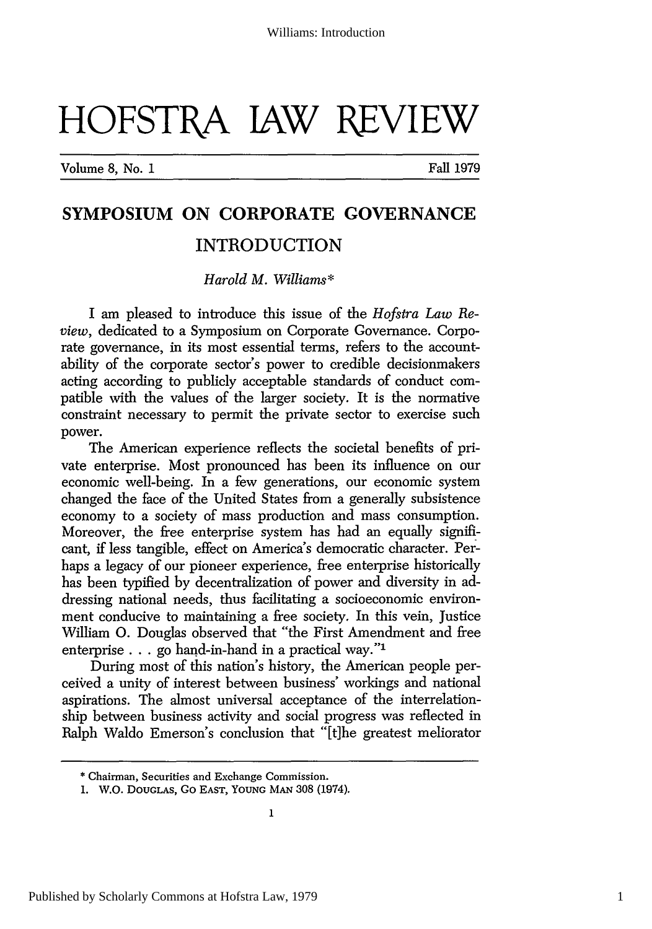# HOFSTRA JAW REVIEW

Volume 8, No. **1** Fall 1979

# **SYMPOSIUM ON CORPORATE GOVERNANCE INTRODUCTION**

## *Harold M. Williams\**

I am pleased to introduce this issue of the *Hofstra Law Review,* dedicated to a Symposium on Corporate Governance. Corporate governance, in its most essential terms, refers to the accountability of the corporate sector's power to credible decisionmakers acting according to publicly acceptable standards of conduct compatible with the values of the larger society. It is the normative constraint necessary to permit the private sector to exercise such power.

The American experience reflects the societal benefits of private enterprise. Most pronounced has been its influence on our economic well-being. In a few generations, our economic system changed the face of the United States from a generally subsistence economy to a society of mass production and mass consumption. Moreover, the free enterprise system has had an equally significant, if less tangible, effect on America's democratic character. Perhaps a legacy of our pioneer experience, free enterprise historically has been typified by decentralization of power and diversity in addressing national needs, thus facilitating a socioeconomic environment conducive to maintaining a free society. In this vein, Justice William **0.** Douglas observed that "the First Amendment and free enterprise . . . go hand-in-hand in a practical way."<sup>1</sup>

During most of this nation's history, the American people perceived a unity of interest between business' workings and national aspirations. The almost universal acceptance of the interrelationship between business activity and social progress was reflected in Ralph Waldo Emerson's conclusion that "[t]he greatest meliorator

<sup>\*</sup> Chairman, Securities and Exchange Commission.

<sup>1.</sup> W.O. **DOUGLAS,** Go **EAST, YOUNG MAN** 308 (1974).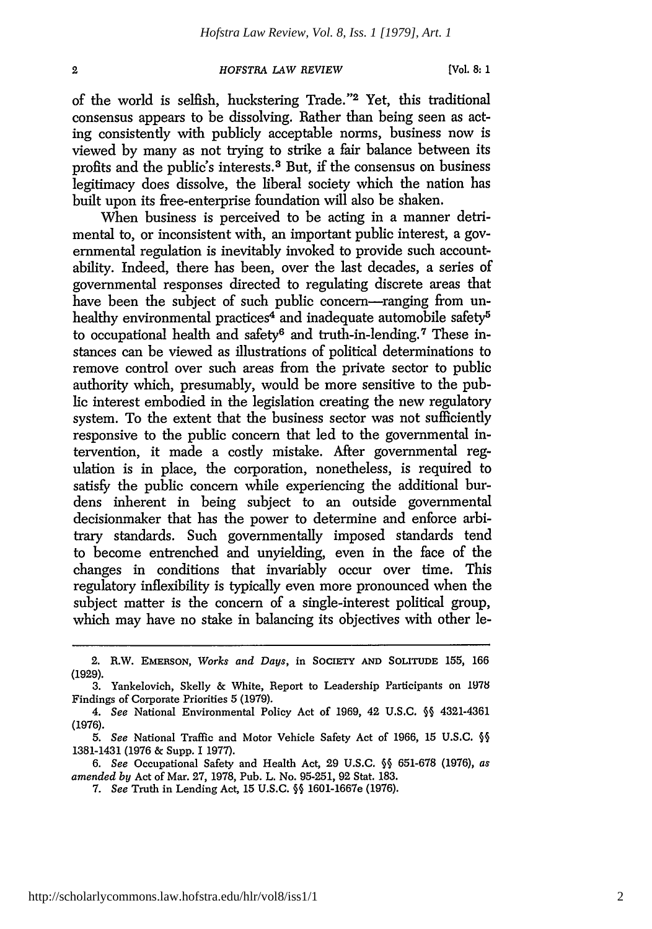### *HOFSTRA LAW REVIEW*

of the world is selfish, huckstering Trade."<sup>2</sup> Yet, this traditional consensus appears to be dissolving. Rather than being seen as acting consistently with publicly acceptable norms, business now is viewed by many as not trying to strike a fair balance between its profits and the public's interests.3 But, if the consensus on business legitimacy does dissolve, the liberal society which the nation has built upon its free-enterprise foundation will also be shaken.

When business is perceived to be acting in a manner detrimental to, or inconsistent with, an important public interest, a governmental regulation is inevitably invoked to provide such accountability. Indeed, there has been, over the last decades, a series of governmental responses directed to regulating discrete areas that have been the subject of such public concern—ranging from unhealthy environmental practices<sup>4</sup> and inadequate automobile safety<sup>5</sup> to occupational health and safety<sup>6</sup> and truth-in-lending.<sup>7</sup> These instances can be viewed as illustrations of political determinations to remove control over such areas from the private sector to public authority which, presumably, would be more sensitive to the public interest embodied in the legislation creating the new regulatory system. To the extent that the business sector was not sufficiently responsive to the public concern that led to the governmental intervention, it made a costly mistake. After governmental regulation is in place, the corporation, nonetheless, is required to satisfy the public concern while experiencing the additional burdens inherent in being subject to an outside governmental decisionmaker that has the power to determine and enforce arbitrary standards. Such governmentally imposed standards tend to become entrenched and unyielding, even in the face of the changes in conditions that invariably occur over time. This regulatory inflexibility is typically even more pronounced when the subject matter is the concern of a single-interest political group, which may have no stake in balancing its objectives with other le-

6. *See* Occupational Safety and Health Act, 29 U.S.C. §§ 651-678 (1976), *as amended by* Act of Mar. 27, 1978, Pub. L. No. 95-251, **92** Stat. 183.

 $\overline{2}$ 

<sup>2.</sup> R.W. **EMERSON,** *Works and Days,* in **SOCIETY AND** SOLITUDE 155, 166 (1929).

<sup>3.</sup> Yankelovich, Skelly & White, Report to Leadership Participants on 1978 Findings of Corporate Priorities 5 (1979).

*<sup>4.</sup> See* National Environmental Policy Act of 1969, 42 U.S.C. **§§** 4321-4361 (1976).

*<sup>5.</sup> See* National Traffic and Motor Vehicle Safety Act of 1966, 15 U.S.C. **§§** 1381-1431 (1976 & Supp. I 1977).

<sup>7.</sup> *See* Truth in Lending Act, 15 U.S.C. **§§** 1601-1667e (1976).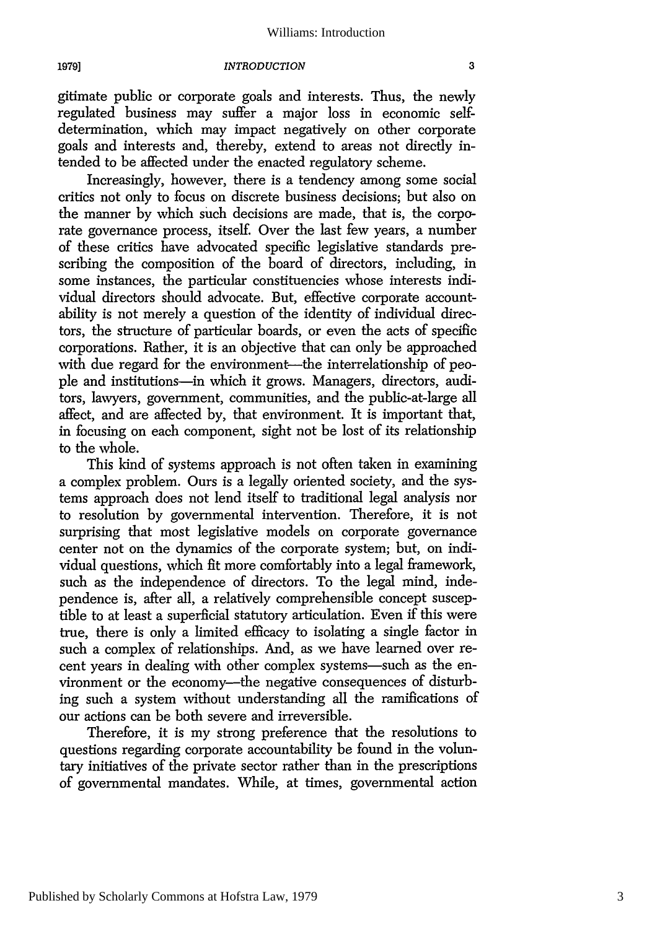#### *INTRODUCTION*

gitimate public or corporate goals and interests. Thus, the newly regulated business may suffer a major loss in economic selfdetermination, which may impact negatively on other corporate goals and interests and, thereby, extend to areas not directly intended to be affected under the enacted regulatory scheme.

Increasingly, however, there is a tendency among some social critics not only to focus on discrete business decisions; but also on the manner by which such decisions are made, that is, the corporate governance process, itself. Over the last few years, a number of these critics have advocated specific legislative standards prescribing the composition of the board of directors, including, in some instances, the particular constituencies whose interests individual directors should advocate. But, effective corporate accountability is not merely a question of the identity of individual directors, the structure of particular boards, or even the acts of specific corporations. Rather, it is an objective that can only be approached with due regard for the environment-the interrelationship of people and institutions-in which it grows. Managers, directors, auditors, lawyers, government, communities, and the public-at-large all affect, and are affected by, that environment. It is important that, in focusing on each component, sight not be lost of its relationship to the whole.

This kind of systems approach is not often taken in examining a complex problem. Ours is a legally oriented society, and the systems approach does not lend itself to traditional legal analysis nor to resolution by governmental intervention. Therefore, it is not surprising that most legislative models on corporate governance center not on the dynamics of the corporate system; but, on individual questions, which fit more comfortably into a legal framework, such as the independence of directors. To the legal mind, independence is, after all, a relatively comprehensible concept susceptible to at least a superficial statutory articulation. Even if this were true, there is only a limited efficacy to isolating a single factor in such a complex of relationships. And, as we have learned over recent years in dealing with other complex systems-such as the environment or the economy-the negative consequences of disturbing such a system without understanding all the ramifications of our actions can be both severe and irreversible.

Therefore, it is my strong preference that the resolutions to questions regarding corporate accountability be found in the voluntary initiatives of the private sector rather than in the prescriptions of governmental mandates. While, at times, governmental action

**1979]**